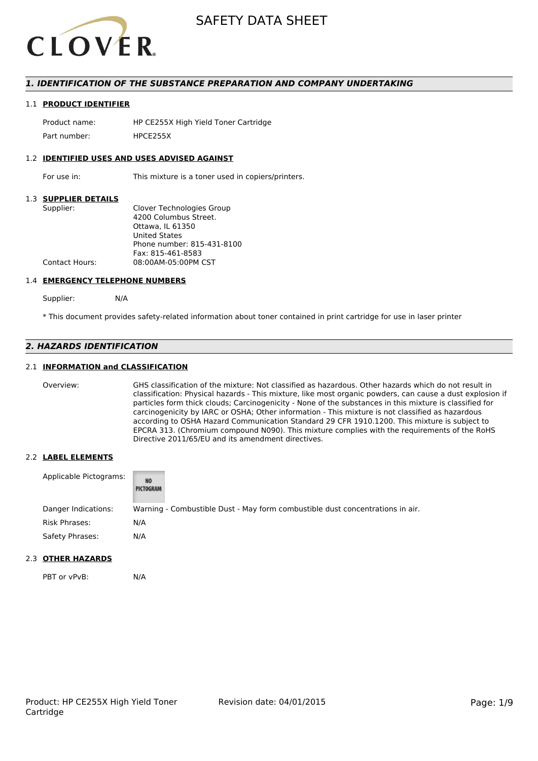

#### *1. IDENTIFICATION OF THE SUBSTANCE PREPARATION AND COMPANY UNDERTAKING*

#### 1.1 **PRODUCT IDENTIFIER**

Product name: HP CE255X High Yield Toner Cartridge Part number: HPCF255X

#### 1.2 **IDENTIFIED USES AND USES ADVISED AGAINST**

For use in: This mixture is a toner used in copiers/printers.

#### 1.3 **SUPPLIER DETAILS**

| Supplier:             | Clover Technologies Group  |
|-----------------------|----------------------------|
|                       | 4200 Columbus Street.      |
|                       | Ottawa. IL 61350           |
|                       | <b>United States</b>       |
|                       | Phone number: 815-431-8100 |
|                       | Fax: 815-461-8583          |
| <b>Contact Hours:</b> | 08:00AM-05:00PM CST        |
|                       |                            |

#### 1.4 **EMERGENCY TELEPHONE NUMBERS**

Supplier: N/A

\* This document provides safety-related information about toner contained in print cartridge for use in laser printer

#### *2. HAZARDS IDENTIFICATION*

#### 2.1 **INFORMATION and CLASSIFICATION**

Overview: GHS classification of the mixture: Not classified as hazardous. Other hazards which do not result in classification: Physical hazards - This mixture, like most organic powders, can cause a dust explosion if particles form thick clouds; Carcinogenicity - None of the substances in this mixture is classified for carcinogenicity by IARC or OSHA; Other information - This mixture is not classified as hazardous according to OSHA Hazard Communication Standard 29 CFR 1910.1200. This mixture is subject to EPCRA 313. (Chromium compound N090). This mixture complies with the requirements of the RoHS Directive 2011/65/EU and its amendment directives.

#### 2.2 **LABEL ELEMENTS**

| Applicable Pictograms: | NO<br>PICTOGRAM |                                                                               |
|------------------------|-----------------|-------------------------------------------------------------------------------|
| Danger Indications:    |                 | Warning - Combustible Dust - May form combustible dust concentrations in air. |
| Risk Phrases:          | N/A             |                                                                               |
| Safety Phrases:        | N/A             |                                                                               |

#### 2.3 **OTHER HAZARDS**

PBT or vPvB: N/A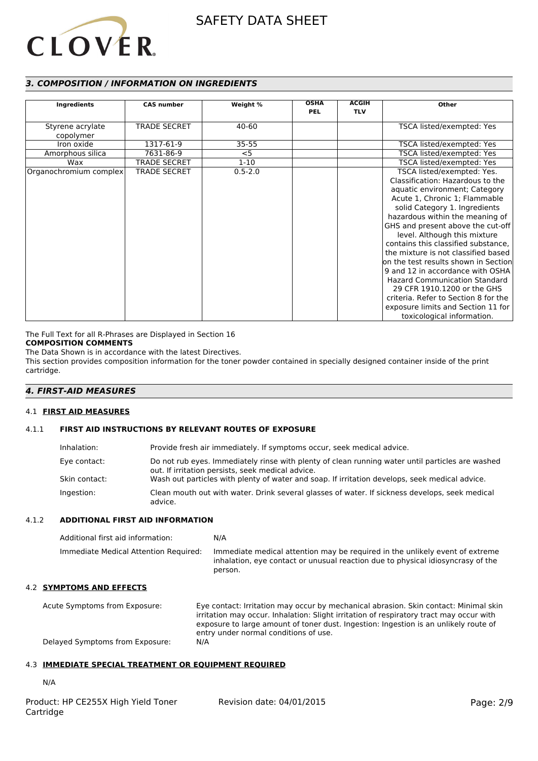# **CLOVER**

#### *3. COMPOSITION / INFORMATION ON INGREDIENTS*

|                        |                     |             | <b>OSHA</b> | <b>ACGIH</b> |                                      |
|------------------------|---------------------|-------------|-------------|--------------|--------------------------------------|
| Ingredients            | <b>CAS number</b>   | Weight %    | <b>PEL</b>  | <b>TLV</b>   | <b>Other</b>                         |
|                        |                     |             |             |              |                                      |
| Styrene acrylate       | <b>TRADE SECRET</b> | 40-60       |             |              | TSCA listed/exempted: Yes            |
| copolymer              |                     |             |             |              |                                      |
| Iron oxide             | 1317-61-9           | $35 - 55$   |             |              | TSCA listed/exempted: Yes            |
| Amorphous silica       | 7631-86-9           | $<$ 5       |             |              | TSCA listed/exempted: Yes            |
| Wax                    | <b>TRADE SECRET</b> | $1 - 10$    |             |              | TSCA listed/exempted: Yes            |
| Organochromium complex | <b>TRADE SECRET</b> | $0.5 - 2.0$ |             |              | TSCA listed/exempted: Yes.           |
|                        |                     |             |             |              | Classification: Hazardous to the     |
|                        |                     |             |             |              | aquatic environment; Category        |
|                        |                     |             |             |              | Acute 1, Chronic 1; Flammable        |
|                        |                     |             |             |              | solid Category 1. Ingredients        |
|                        |                     |             |             |              | hazardous within the meaning of      |
|                        |                     |             |             |              | GHS and present above the cut-off    |
|                        |                     |             |             |              | level. Although this mixture         |
|                        |                     |             |             |              | contains this classified substance,  |
|                        |                     |             |             |              | the mixture is not classified based  |
|                        |                     |             |             |              | on the test results shown in Section |
|                        |                     |             |             |              | 9 and 12 in accordance with OSHA     |
|                        |                     |             |             |              | <b>Hazard Communication Standard</b> |
|                        |                     |             |             |              | 29 CFR 1910.1200 or the GHS          |
|                        |                     |             |             |              | criteria. Refer to Section 8 for the |
|                        |                     |             |             |              | exposure limits and Section 11 for   |
|                        |                     |             |             |              | toxicological information.           |

The Full Text for all R-Phrases are Displayed in Section 16

#### **COMPOSITION COMMENTS**

The Data Shown is in accordance with the latest Directives.

This section provides composition information for the toner powder contained in specially designed container inside of the print cartridge.

#### *4. FIRST-AID MEASURES*

#### 4.1 **FIRST AID MEASURES**

#### 4.1.1 **FIRST AID INSTRUCTIONS BY RELEVANT ROUTES OF EXPOSURE**

| Inhalation:   | Provide fresh air immediately. If symptoms occur, seek medical advice.                                                                                |
|---------------|-------------------------------------------------------------------------------------------------------------------------------------------------------|
| Eye contact:  | Do not rub eyes. Immediately rinse with plenty of clean running water until particles are washed<br>out. If irritation persists, seek medical advice. |
| Skin contact: | Wash out particles with plenty of water and soap. If irritation develops, seek medical advice.                                                        |
| Ingestion:    | Clean mouth out with water. Drink several glasses of water. If sickness develops, seek medical<br>advice.                                             |

#### 4.1.2 **ADDITIONAL FIRST AID INFORMATION**

| Additional first aid information:     | N/A                                                                                                                                                                        |
|---------------------------------------|----------------------------------------------------------------------------------------------------------------------------------------------------------------------------|
| Immediate Medical Attention Required: | Immediate medical attention may be required in the unlikely event of extreme<br>inhalation, eye contact or unusual reaction due to physical idiosyncrasy of the<br>person. |

#### 4.2 **SYMPTOMS AND EFFECTS**

Acute Symptoms from Exposure: Eye contact: Irritation may occur by mechanical abrasion. Skin contact: Minimal skin irritation may occur. Inhalation: Slight irritation of respiratory tract may occur with exposure to large amount of toner dust. Ingestion: Ingestion is an unlikely route of entry under normal conditions of use.<br>N/A Delayed Symptoms from Exposure:

#### 4.3 **IMMEDIATE SPECIAL TREATMENT OR EQUIPMENT REQUIRED**

N/A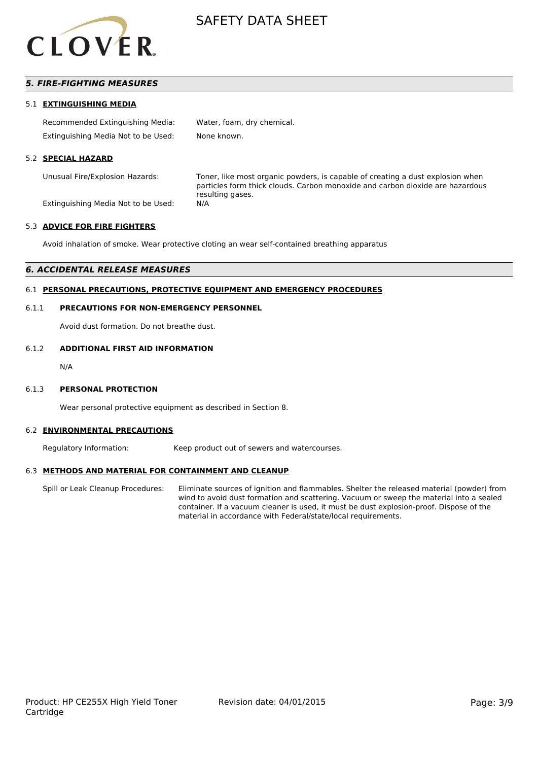

#### *5. FIRE-FIGHTING MEASURES*

#### 5.1 **EXTINGUISHING MEDIA**

| Recommended Extinguishing Media:    | Water, foam, dry chemical. |
|-------------------------------------|----------------------------|
| Extinguishing Media Not to be Used: | None known.                |

#### 5.2 **SPECIAL HAZARD**

Unusual Fire/Explosion Hazards: Toner, like most organic powders, is capable of creating a dust explosion when particles form thick clouds. Carbon monoxide and carbon dioxide are hazardous resulting gases.

Extinguishing Media Not to be Used: N/A

#### 5.3 **ADVICE FOR FIRE FIGHTERS**

Avoid inhalation of smoke. Wear protective cloting an wear self-contained breathing apparatus

#### *6. ACCIDENTAL RELEASE MEASURES*

#### 6.1 **PERSONAL PRECAUTIONS, PROTECTIVE EQUIPMENT AND EMERGENCY PROCEDURES**

#### 6.1.1 **PRECAUTIONS FOR NON-EMERGENCY PERSONNEL**

Avoid dust formation. Do not breathe dust.

#### 6.1.2 **ADDITIONAL FIRST AID INFORMATION**

N/A

#### 6.1.3 **PERSONAL PROTECTION**

Wear personal protective equipment as described in Section 8.

#### 6.2 **ENVIRONMENTAL PRECAUTIONS**

Regulatory Information: Keep product out of sewers and watercourses.

#### 6.3 **METHODS AND MATERIAL FOR CONTAINMENT AND CLEANUP**

Spill or Leak Cleanup Procedures: Eliminate sources of ignition and flammables. Shelter the released material (powder) from wind to avoid dust formation and scattering. Vacuum or sweep the material into a sealed container. If a vacuum cleaner is used, it must be dust explosion-proof. Dispose of the material in accordance with Federal/state/local requirements.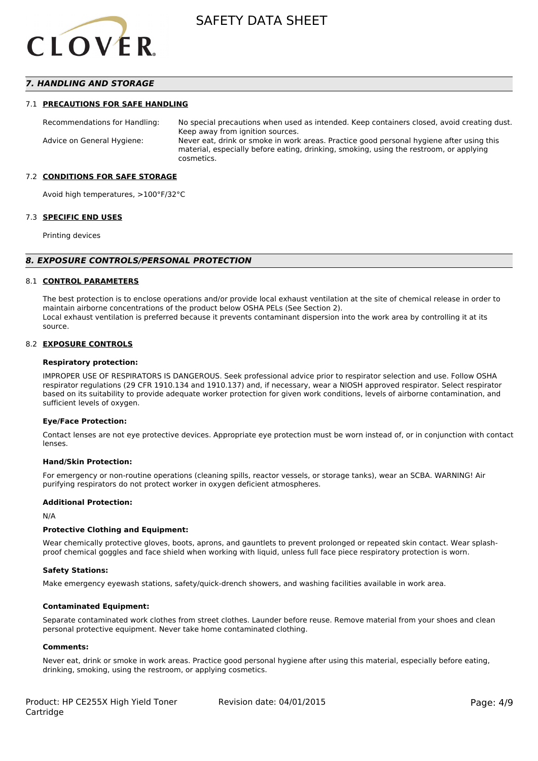

#### *7. HANDLING AND STORAGE*

#### 7.1 **PRECAUTIONS FOR SAFE HANDLING**

Recommendations for Handling: No special precautions when used as intended. Keep containers closed, avoid creating dust. Keep away from ignition sources. Advice on General Hygiene: Never eat, drink or smoke in work areas. Practice good personal hygiene after using this material, especially before eating, drinking, smoking, using the restroom, or applying cosmetics.

#### 7.2 **CONDITIONS FOR SAFE STORAGE**

Avoid high temperatures, >100°F/32°C

#### 7.3 **SPECIFIC END USES**

Printing devices

#### *8. EXPOSURE CONTROLS/PERSONAL PROTECTION*

#### 8.1 **CONTROL PARAMETERS**

The best protection is to enclose operations and/or provide local exhaust ventilation at the site of chemical release in order to maintain airborne concentrations of the product below OSHA PELs (See Section 2). Local exhaust ventilation is preferred because it prevents contaminant dispersion into the work area by controlling it at its source.

#### 8.2 **EXPOSURE CONTROLS**

#### **Respiratory protection:**

IMPROPER USE OF RESPIRATORS IS DANGEROUS. Seek professional advice prior to respirator selection and use. Follow OSHA respirator regulations (29 CFR 1910.134 and 1910.137) and, if necessary, wear a NIOSH approved respirator. Select respirator based on its suitability to provide adequate worker protection for given work conditions, levels of airborne contamination, and sufficient levels of oxygen.

#### **Eye/Face Protection:**

Contact lenses are not eye protective devices. Appropriate eye protection must be worn instead of, or in conjunction with contact lenses.

#### **Hand/Skin Protection:**

For emergency or non-routine operations (cleaning spills, reactor vessels, or storage tanks), wear an SCBA. WARNING! Air purifying respirators do not protect worker in oxygen deficient atmospheres.

#### **Additional Protection:**

N/A

#### **Protective Clothing and Equipment:**

Wear chemically protective gloves, boots, aprons, and gauntlets to prevent prolonged or repeated skin contact. Wear splashproof chemical goggles and face shield when working with liquid, unless full face piece respiratory protection is worn.

#### **Safety Stations:**

Make emergency eyewash stations, safety/quick-drench showers, and washing facilities available in work area.

#### **Contaminated Equipment:**

Separate contaminated work clothes from street clothes. Launder before reuse. Remove material from your shoes and clean personal protective equipment. Never take home contaminated clothing.

#### **Comments:**

Never eat, drink or smoke in work areas. Practice good personal hygiene after using this material, especially before eating, drinking, smoking, using the restroom, or applying cosmetics.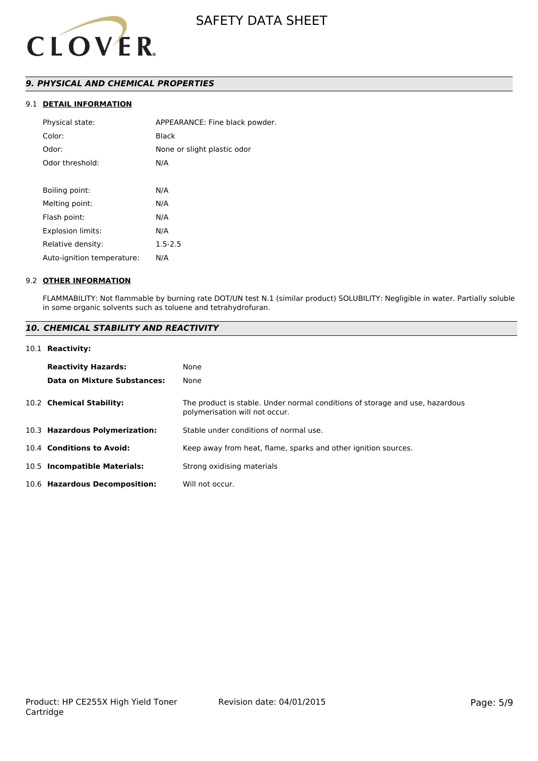

#### *9. PHYSICAL AND CHEMICAL PROPERTIES*

#### 9.1 **DETAIL INFORMATION**

| Physical state:            | APPEARANCE: Fine black powder. |
|----------------------------|--------------------------------|
| Color:                     | Black                          |
| Odor:                      | None or slight plastic odor    |
| Odor threshold:            | N/A                            |
|                            |                                |
| Boiling point:             | N/A                            |
| Melting point:             | N/A                            |
| Flash point:               | N/A                            |
| <b>Explosion limits:</b>   | N/A                            |
| Relative density:          | $1.5 - 2.5$                    |
| Auto-ignition temperature: | N/A                            |
|                            |                                |

#### 9.2 **OTHER INFORMATION**

FLAMMABILITY: Not flammable by burning rate DOT/UN test N.1 (similar product) SOLUBILITY: Negligible in water. Partially soluble in some organic solvents such as toluene and tetrahydrofuran.

#### *10. CHEMICAL STABILITY AND REACTIVITY*

#### 10.1 **Reactivity:**

| <b>Reactivity Hazards:</b>     | None                                                                                                           |
|--------------------------------|----------------------------------------------------------------------------------------------------------------|
| Data on Mixture Substances:    | None                                                                                                           |
| 10.2 Chemical Stability:       | The product is stable. Under normal conditions of storage and use, hazardous<br>polymerisation will not occur. |
| 10.3 Hazardous Polymerization: | Stable under conditions of normal use.                                                                         |
| 10.4 Conditions to Avoid:      | Keep away from heat, flame, sparks and other ignition sources.                                                 |
| 10.5 Incompatible Materials:   | Strong oxidising materials                                                                                     |
| 10.6 Hazardous Decomposition:  | Will not occur.                                                                                                |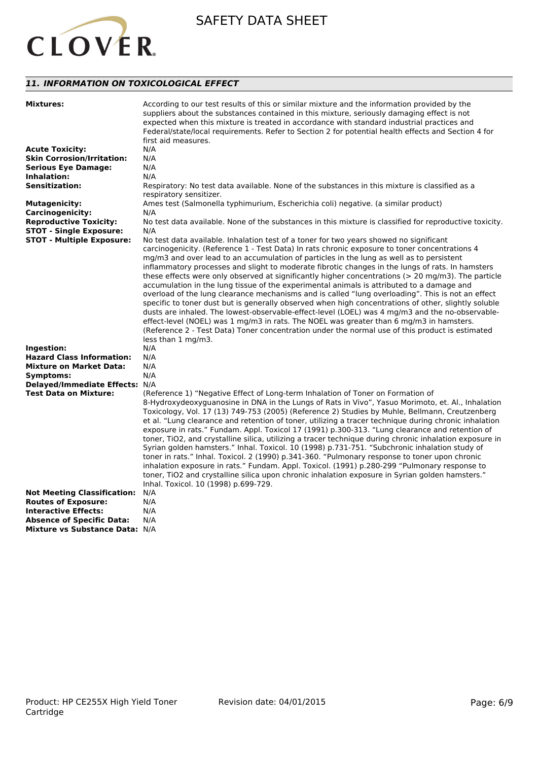

#### *11. INFORMATION ON TOXICOLOGICAL EFFECT*

| <b>Mixtures:</b>                                                                                                     | According to our test results of this or similar mixture and the information provided by the<br>suppliers about the substances contained in this mixture, seriously damaging effect is not<br>expected when this mixture is treated in accordance with standard industrial practices and<br>Federal/state/local requirements. Refer to Section 2 for potential health effects and Section 4 for<br>first aid measures.                                                                                                                                                                                                                                                                                                                                                                                                                                                                                                                                                                                                                                                                                                                              |
|----------------------------------------------------------------------------------------------------------------------|-----------------------------------------------------------------------------------------------------------------------------------------------------------------------------------------------------------------------------------------------------------------------------------------------------------------------------------------------------------------------------------------------------------------------------------------------------------------------------------------------------------------------------------------------------------------------------------------------------------------------------------------------------------------------------------------------------------------------------------------------------------------------------------------------------------------------------------------------------------------------------------------------------------------------------------------------------------------------------------------------------------------------------------------------------------------------------------------------------------------------------------------------------|
| <b>Acute Toxicity:</b>                                                                                               | N/A                                                                                                                                                                                                                                                                                                                                                                                                                                                                                                                                                                                                                                                                                                                                                                                                                                                                                                                                                                                                                                                                                                                                                 |
| <b>Skin Corrosion/Irritation:</b>                                                                                    | N/A                                                                                                                                                                                                                                                                                                                                                                                                                                                                                                                                                                                                                                                                                                                                                                                                                                                                                                                                                                                                                                                                                                                                                 |
| <b>Serious Eye Damage:</b>                                                                                           | N/A                                                                                                                                                                                                                                                                                                                                                                                                                                                                                                                                                                                                                                                                                                                                                                                                                                                                                                                                                                                                                                                                                                                                                 |
| Inhalation:                                                                                                          | N/A                                                                                                                                                                                                                                                                                                                                                                                                                                                                                                                                                                                                                                                                                                                                                                                                                                                                                                                                                                                                                                                                                                                                                 |
| <b>Sensitization:</b>                                                                                                | Respiratory: No test data available. None of the substances in this mixture is classified as a                                                                                                                                                                                                                                                                                                                                                                                                                                                                                                                                                                                                                                                                                                                                                                                                                                                                                                                                                                                                                                                      |
|                                                                                                                      | respiratory sensitizer.                                                                                                                                                                                                                                                                                                                                                                                                                                                                                                                                                                                                                                                                                                                                                                                                                                                                                                                                                                                                                                                                                                                             |
|                                                                                                                      |                                                                                                                                                                                                                                                                                                                                                                                                                                                                                                                                                                                                                                                                                                                                                                                                                                                                                                                                                                                                                                                                                                                                                     |
| <b>Mutagenicity:</b>                                                                                                 | Ames test (Salmonella typhimurium, Escherichia coli) negative. (a similar product)                                                                                                                                                                                                                                                                                                                                                                                                                                                                                                                                                                                                                                                                                                                                                                                                                                                                                                                                                                                                                                                                  |
| <b>Carcinogenicity:</b>                                                                                              | N/A                                                                                                                                                                                                                                                                                                                                                                                                                                                                                                                                                                                                                                                                                                                                                                                                                                                                                                                                                                                                                                                                                                                                                 |
| <b>Reproductive Toxicity:</b>                                                                                        | No test data available. None of the substances in this mixture is classified for reproductive toxicity.                                                                                                                                                                                                                                                                                                                                                                                                                                                                                                                                                                                                                                                                                                                                                                                                                                                                                                                                                                                                                                             |
| <b>STOT - Single Exposure:</b>                                                                                       | N/A                                                                                                                                                                                                                                                                                                                                                                                                                                                                                                                                                                                                                                                                                                                                                                                                                                                                                                                                                                                                                                                                                                                                                 |
| <b>STOT - Multiple Exposure:</b><br>Ingestion:<br><b>Hazard Class Information:</b><br><b>Mixture on Market Data:</b> | No test data available. Inhalation test of a toner for two years showed no significant<br>carcinogenicity. (Reference 1 - Test Data) In rats chronic exposure to toner concentrations 4<br>mg/m3 and over lead to an accumulation of particles in the lung as well as to persistent<br>inflammatory processes and slight to moderate fibrotic changes in the lungs of rats. In hamsters<br>these effects were only observed at significantly higher concentrations (> 20 mg/m3). The particle<br>accumulation in the lung tissue of the experimental animals is attributed to a damage and<br>overload of the lung clearance mechanisms and is called "lung overloading". This is not an effect<br>specific to toner dust but is generally observed when high concentrations of other, slightly soluble<br>dusts are inhaled. The lowest-observable-effect-level (LOEL) was 4 mg/m3 and the no-observable-<br>effect-level (NOEL) was 1 mg/m3 in rats. The NOEL was greater than 6 mg/m3 in hamsters.<br>(Reference 2 - Test Data) Toner concentration under the normal use of this product is estimated<br>less than 1 mg/m3.<br>N/A<br>N/A<br>N/A |
| Symptoms:                                                                                                            | N/A                                                                                                                                                                                                                                                                                                                                                                                                                                                                                                                                                                                                                                                                                                                                                                                                                                                                                                                                                                                                                                                                                                                                                 |
| Delayed/Immediate Effects: N/A                                                                                       |                                                                                                                                                                                                                                                                                                                                                                                                                                                                                                                                                                                                                                                                                                                                                                                                                                                                                                                                                                                                                                                                                                                                                     |
| <b>Test Data on Mixture:</b>                                                                                         | (Reference 1) "Negative Effect of Long-term Inhalation of Toner on Formation of<br>8-Hydroxydeoxyguanosine in DNA in the Lungs of Rats in Vivo", Yasuo Morimoto, et. Al., Inhalation<br>Toxicology, Vol. 17 (13) 749-753 (2005) (Reference 2) Studies by Muhle, Bellmann, Creutzenberg<br>et al. "Lung clearance and retention of toner, utilizing a tracer technique during chronic inhalation<br>exposure in rats." Fundam. Appl. Toxicol 17 (1991) p.300-313. "Lung clearance and retention of<br>toner, TiO2, and crystalline silica, utilizing a tracer technique during chronic inhalation exposure in<br>Syrian golden hamsters." Inhal. Toxicol. 10 (1998) p.731-751. "Subchronic inhalation study of<br>toner in rats." Inhal. Toxicol. 2 (1990) p.341-360. "Pulmonary response to toner upon chronic<br>inhalation exposure in rats." Fundam. Appl. Toxicol. (1991) p.280-299 "Pulmonary response to<br>toner, TiO2 and crystalline silica upon chronic inhalation exposure in Syrian golden hamsters."<br>Inhal. Toxicol. 10 (1998) p.699-729.                                                                                           |
| <b>Not Meeting Classification:</b>                                                                                   | N/A                                                                                                                                                                                                                                                                                                                                                                                                                                                                                                                                                                                                                                                                                                                                                                                                                                                                                                                                                                                                                                                                                                                                                 |
| <b>Routes of Exposure:</b>                                                                                           | N/A                                                                                                                                                                                                                                                                                                                                                                                                                                                                                                                                                                                                                                                                                                                                                                                                                                                                                                                                                                                                                                                                                                                                                 |
| <b>Interactive Effects:</b>                                                                                          | N/A                                                                                                                                                                                                                                                                                                                                                                                                                                                                                                                                                                                                                                                                                                                                                                                                                                                                                                                                                                                                                                                                                                                                                 |
| <b>Absence of Specific Data:</b>                                                                                     | N/A                                                                                                                                                                                                                                                                                                                                                                                                                                                                                                                                                                                                                                                                                                                                                                                                                                                                                                                                                                                                                                                                                                                                                 |
| <b>Mixture vs Substance Data: N/A</b>                                                                                |                                                                                                                                                                                                                                                                                                                                                                                                                                                                                                                                                                                                                                                                                                                                                                                                                                                                                                                                                                                                                                                                                                                                                     |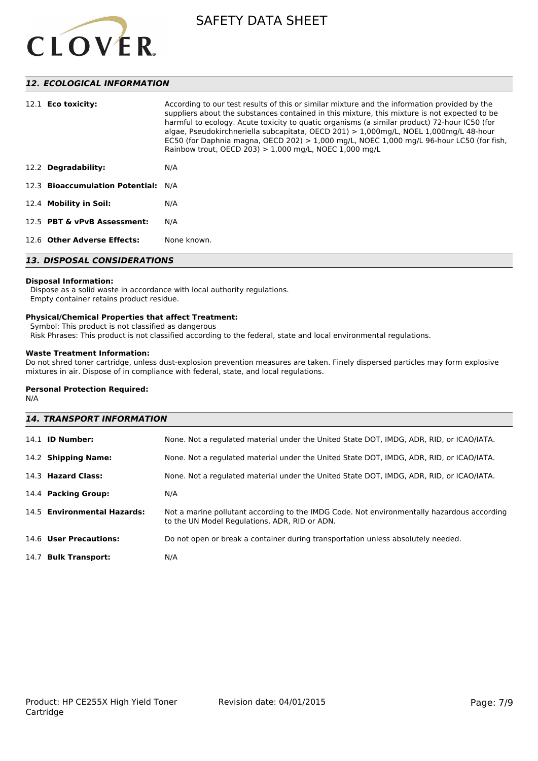

#### *12. ECOLOGICAL INFORMATION*

| 12.1 <b>Eco toxicity:</b>           | According to our test results of this or similar mixture and the information provided by the<br>suppliers about the substances contained in this mixture, this mixture is not expected to be<br>harmful to ecology. Acute toxicity to quatic organisms (a similar product) 72-hour IC50 (for<br>algae, Pseudokirchneriella subcapitata, OECD 201) > 1,000mg/L, NOEL 1,000mg/L 48-hour<br>EC50 (for Daphnia magna, OECD 202) $> 1,000$ mg/L, NOEC 1,000 mg/L 96-hour LC50 (for fish,<br>Rainbow trout, OECD 203) $> 1,000$ mg/L, NOEC 1,000 mg/L |  |
|-------------------------------------|-------------------------------------------------------------------------------------------------------------------------------------------------------------------------------------------------------------------------------------------------------------------------------------------------------------------------------------------------------------------------------------------------------------------------------------------------------------------------------------------------------------------------------------------------|--|
| 12.2 Degradability:                 | N/A                                                                                                                                                                                                                                                                                                                                                                                                                                                                                                                                             |  |
| 12.3 Bioaccumulation Potential: N/A |                                                                                                                                                                                                                                                                                                                                                                                                                                                                                                                                                 |  |
| 12.4 Mobility in Soil:              | N/A                                                                                                                                                                                                                                                                                                                                                                                                                                                                                                                                             |  |
| 12.5 PBT & vPvB Assessment:         | N/A                                                                                                                                                                                                                                                                                                                                                                                                                                                                                                                                             |  |
| 12.6 Other Adverse Effects:         | None known.                                                                                                                                                                                                                                                                                                                                                                                                                                                                                                                                     |  |
| <b>13. DISPOSAL CONSIDERATIONS</b>  |                                                                                                                                                                                                                                                                                                                                                                                                                                                                                                                                                 |  |

### **Disposal Information:**

 Dispose as a solid waste in accordance with local authority regulations. Empty container retains product residue.

#### **Physical/Chemical Properties that affect Treatment:**

Symbol: This product is not classified as dangerous

Risk Phrases: This product is not classified according to the federal, state and local environmental regulations.

#### **Waste Treatment Information:**

Do not shred toner cartridge, unless dust-explosion prevention measures are taken. Finely dispersed particles may form explosive mixtures in air. Dispose of in compliance with federal, state, and local regulations.

#### **Personal Protection Required:**

N/A

| <b>14. TRANSPORT INFORMATION</b> |                                                                                                                                             |  |
|----------------------------------|---------------------------------------------------------------------------------------------------------------------------------------------|--|
| 14.1 <b>ID Number:</b>           | None. Not a regulated material under the United State DOT, IMDG, ADR, RID, or ICAO/IATA.                                                    |  |
| 14.2 Shipping Name:              | None. Not a regulated material under the United State DOT, IMDG, ADR, RID, or ICAO/IATA.                                                    |  |
| 14.3 Hazard Class:               | None. Not a regulated material under the United State DOT, IMDG, ADR, RID, or ICAO/IATA.                                                    |  |
| 14.4 Packing Group:              | N/A                                                                                                                                         |  |
| 14.5 Environmental Hazards:      | Not a marine pollutant according to the IMDG Code. Not environmentally hazardous according<br>to the UN Model Regulations, ADR, RID or ADN. |  |
| 14.6 User Precautions:           | Do not open or break a container during transportation unless absolutely needed.                                                            |  |
| 14.7 Bulk Transport:             | N/A                                                                                                                                         |  |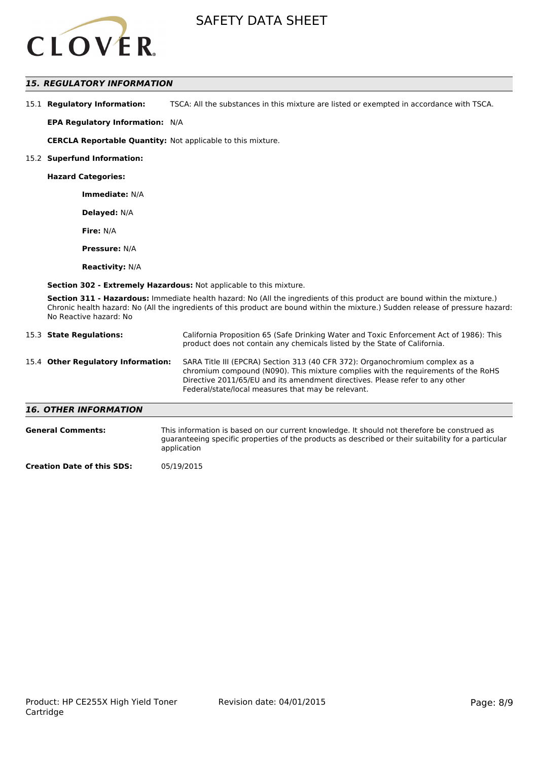

#### *15. REGULATORY INFORMATION*

15.1 **Regulatory Information:** TSCA: All the substances in this mixture are listed or exempted in accordance with TSCA.

**EPA Regulatory Information:** N/A

**CERCLA Reportable Quantity:** Not applicable to this mixture.

#### 15.2 **Superfund Information:**

**Hazard Categories:**

**Immediate:** N/A

**Delayed:** N/A

**Fire:** N/A

**Pressure:** N/A

**Reactivity:** N/A

**Section 302 - Extremely Hazardous:** Not applicable to this mixture.

**Section 311 - Hazardous:** Immediate health hazard: No (All the ingredients of this product are bound within the mixture.) Chronic health hazard: No (All the ingredients of this product are bound within the mixture.) Sudden release of pressure hazard: No Reactive hazard: No

| 15.3 State Regulations:            | California Proposition 65 (Safe Drinking Water and Toxic Enforcement Act of 1986): This<br>product does not contain any chemicals listed by the State of California.                                                                                                                                    |
|------------------------------------|---------------------------------------------------------------------------------------------------------------------------------------------------------------------------------------------------------------------------------------------------------------------------------------------------------|
| 15.4 Other Regulatory Information: | SARA Title III (EPCRA) Section 313 (40 CFR 372): Organochromium complex as a<br>chromium compound (N090). This mixture complies with the requirements of the RoHS<br>Directive 2011/65/EU and its amendment directives. Please refer to any other<br>Federal/state/local measures that may be relevant. |
| <b>16. OTHER INFORMATION</b>       |                                                                                                                                                                                                                                                                                                         |

| <b>General Comments:</b> | This information is based on our current knowledge. It should not therefore be construed as<br>guaranteeing specific properties of the products as described or their suitability for a particular<br>application |
|--------------------------|-------------------------------------------------------------------------------------------------------------------------------------------------------------------------------------------------------------------|
|                          | 0.513000000                                                                                                                                                                                                       |

**Creation Date of this SDS:** 05/19/2015